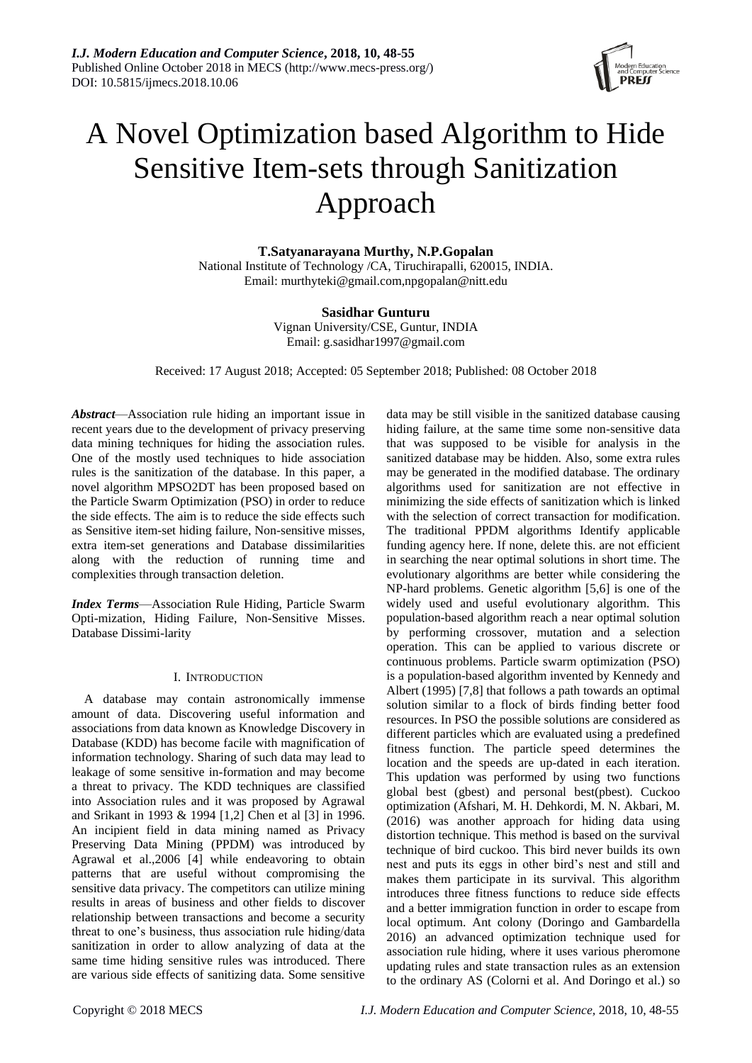

# A Novel Optimization based Algorithm to Hide Sensitive Item-sets through Sanitization Approach

**T.Satyanarayana Murthy, N.P.Gopalan**

National Institute of Technology /CA, Tiruchirapalli, 620015, INDIA. Email: murthyteki@gmail.com,npgopalan@nitt.edu

# **Sasidhar Gunturu**

Vignan University/CSE, Guntur, INDIA Email: g.sasidhar1997@gmail.com

Received: 17 August 2018; Accepted: 05 September 2018; Published: 08 October 2018

*Abstract*—Association rule hiding an important issue in recent years due to the development of privacy preserving data mining techniques for hiding the association rules. One of the mostly used techniques to hide association rules is the sanitization of the database. In this paper, a novel algorithm MPSO2DT has been proposed based on the Particle Swarm Optimization (PSO) in order to reduce the side effects. The aim is to reduce the side effects such as Sensitive item-set hiding failure, Non-sensitive misses, extra item-set generations and Database dissimilarities along with the reduction of running time and complexities through transaction deletion.

*Index Terms*—Association Rule Hiding, Particle Swarm Opti-mization, Hiding Failure, Non-Sensitive Misses. Database Dissimi-larity

# I. INTRODUCTION

A database may contain astronomically immense amount of data. Discovering useful information and associations from data known as Knowledge Discovery in Database (KDD) has become facile with magnification of information technology. Sharing of such data may lead to leakage of some sensitive in-formation and may become a threat to privacy. The KDD techniques are classified into Association rules and it was proposed by Agrawal and Srikant in 1993 & 1994 [1,2] Chen et al [3] in 1996. An incipient field in data mining named as Privacy Preserving Data Mining (PPDM) was introduced by Agrawal et al.,2006 [4] while endeavoring to obtain patterns that are useful without compromising the sensitive data privacy. The competitors can utilize mining results in areas of business and other fields to discover relationship between transactions and become a security threat to one's business, thus association rule hiding/data sanitization in order to allow analyzing of data at the same time hiding sensitive rules was introduced. There are various side effects of sanitizing data. Some sensitive

data may be still visible in the sanitized database causing hiding failure, at the same time some non-sensitive data that was supposed to be visible for analysis in the sanitized database may be hidden. Also, some extra rules may be generated in the modified database. The ordinary algorithms used for sanitization are not effective in minimizing the side effects of sanitization which is linked with the selection of correct transaction for modification. The traditional PPDM algorithms Identify applicable funding agency here. If none, delete this. are not efficient in searching the near optimal solutions in short time. The evolutionary algorithms are better while considering the NP-hard problems. Genetic algorithm [5,6] is one of the widely used and useful evolutionary algorithm. This population-based algorithm reach a near optimal solution by performing crossover, mutation and a selection operation. This can be applied to various discrete or continuous problems. Particle swarm optimization (PSO) is a population-based algorithm invented by Kennedy and Albert (1995) [7,8] that follows a path towards an optimal solution similar to a flock of birds finding better food resources. In PSO the possible solutions are considered as different particles which are evaluated using a predefined fitness function. The particle speed determines the location and the speeds are up-dated in each iteration. This updation was performed by using two functions global best (gbest) and personal best(pbest). Cuckoo optimization (Afshari, M. H. Dehkordi, M. N. Akbari, M. (2016) was another approach for hiding data using distortion technique. This method is based on the survival technique of bird cuckoo. This bird never builds its own nest and puts its eggs in other bird's nest and still and makes them participate in its survival. This algorithm introduces three fitness functions to reduce side effects and a better immigration function in order to escape from local optimum. Ant colony (Doringo and Gambardella 2016) an advanced optimization technique used for association rule hiding, where it uses various pheromone updating rules and state transaction rules as an extension to the ordinary AS (Colorni et al. And Doringo et al.) so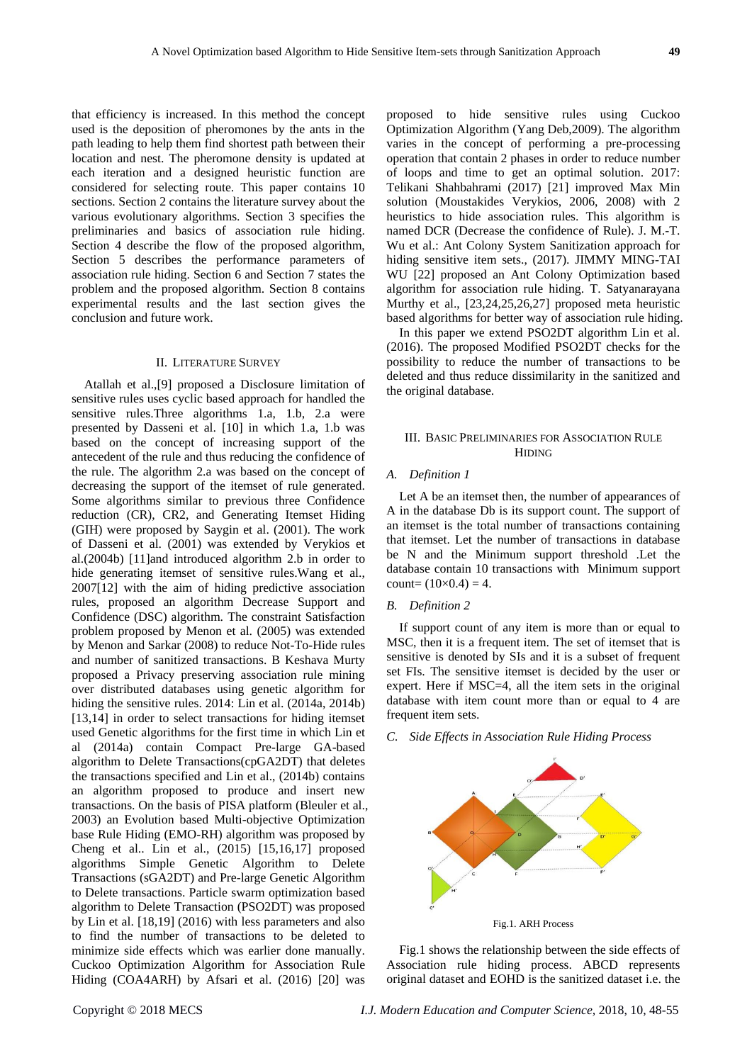that efficiency is increased. In this method the concept used is the deposition of pheromones by the ants in the path leading to help them find shortest path between their location and nest. The pheromone density is updated at each iteration and a designed heuristic function are considered for selecting route. This paper contains 10 sections. Section 2 contains the literature survey about the various evolutionary algorithms. Section 3 specifies the preliminaries and basics of association rule hiding. Section 4 describe the flow of the proposed algorithm, Section 5 describes the performance parameters of association rule hiding. Section 6 and Section 7 states the problem and the proposed algorithm. Section 8 contains experimental results and the last section gives the conclusion and future work.

## II. LITERATURE SURVEY

Atallah et al.,[9] proposed a Disclosure limitation of sensitive rules uses cyclic based approach for handled the sensitive rules.Three algorithms 1.a, 1.b, 2.a were presented by Dasseni et al. [10] in which 1.a, 1.b was based on the concept of increasing support of the antecedent of the rule and thus reducing the confidence of the rule. The algorithm 2.a was based on the concept of decreasing the support of the itemset of rule generated. Some algorithms similar to previous three Confidence reduction (CR), CR2, and Generating Itemset Hiding (GIH) were proposed by Saygin et al. (2001). The work of Dasseni et al. (2001) was extended by Verykios et al.(2004b) [11]and introduced algorithm 2.b in order to hide generating itemset of sensitive rules.Wang et al., 2007[12] with the aim of hiding predictive association rules, proposed an algorithm Decrease Support and Confidence (DSC) algorithm. The constraint Satisfaction problem proposed by Menon et al. (2005) was extended by Menon and Sarkar (2008) to reduce Not-To-Hide rules and number of sanitized transactions. B Keshava Murty proposed a Privacy preserving association rule mining over distributed databases using genetic algorithm for hiding the sensitive rules. 2014: Lin et al. (2014a, 2014b) [13,14] in order to select transactions for hiding itemset used Genetic algorithms for the first time in which Lin et al (2014a) contain Compact Pre-large GA-based algorithm to Delete Transactions(cpGA2DT) that deletes the transactions specified and Lin et al., (2014b) contains an algorithm proposed to produce and insert new transactions. On the basis of PISA platform (Bleuler et al., 2003) an Evolution based Multi-objective Optimization base Rule Hiding (EMO-RH) algorithm was proposed by Cheng et al.. Lin et al., (2015) [15,16,17] proposed algorithms Simple Genetic Algorithm to Delete Transactions (sGA2DT) and Pre-large Genetic Algorithm to Delete transactions. Particle swarm optimization based algorithm to Delete Transaction (PSO2DT) was proposed by Lin et al. [18,19] (2016) with less parameters and also to find the number of transactions to be deleted to minimize side effects which was earlier done manually. Cuckoo Optimization Algorithm for Association Rule Hiding (COA4ARH) by Afsari et al. (2016) [20] was

proposed to hide sensitive rules using Cuckoo Optimization Algorithm (Yang Deb,2009). The algorithm varies in the concept of performing a pre-processing operation that contain 2 phases in order to reduce number of loops and time to get an optimal solution. 2017: Telikani Shahbahrami (2017) [21] improved Max Min solution (Moustakides Verykios, 2006, 2008) with 2 heuristics to hide association rules. This algorithm is named DCR (Decrease the confidence of Rule). J. M.-T. Wu et al.: Ant Colony System Sanitization approach for hiding sensitive item sets., (2017). JIMMY MING-TAI WU [22] proposed an Ant Colony Optimization based algorithm for association rule hiding. T. Satyanarayana Murthy et al., [23,24,25,26,27] proposed meta heuristic based algorithms for better way of association rule hiding.

In this paper we extend PSO2DT algorithm Lin et al. (2016). The proposed Modified PSO2DT checks for the possibility to reduce the number of transactions to be deleted and thus reduce dissimilarity in the sanitized and the original database.

## III. BASIC PRELIMINARIES FOR ASSOCIATION RULE HIDING

# *A. Definition 1*

Let A be an itemset then, the number of appearances of A in the database Db is its support count. The support of an itemset is the total number of transactions containing that itemset. Let the number of transactions in database be N and the Minimum support threshold .Let the database contain 10 transactions with Minimum support count=  $(10 \times 0.4) = 4$ .

## *B. Definition 2*

If support count of any item is more than or equal to MSC, then it is a frequent item. The set of itemset that is sensitive is denoted by SIs and it is a subset of frequent set FIs. The sensitive itemset is decided by the user or expert. Here if MSC=4, all the item sets in the original database with item count more than or equal to 4 are frequent item sets.

*C. Side Effects in Association Rule Hiding Process*



Fig.1. ARH Process

Fig.1 shows the relationship between the side effects of Association rule hiding process. ABCD represents original dataset and EOHD is the sanitized dataset i.e. the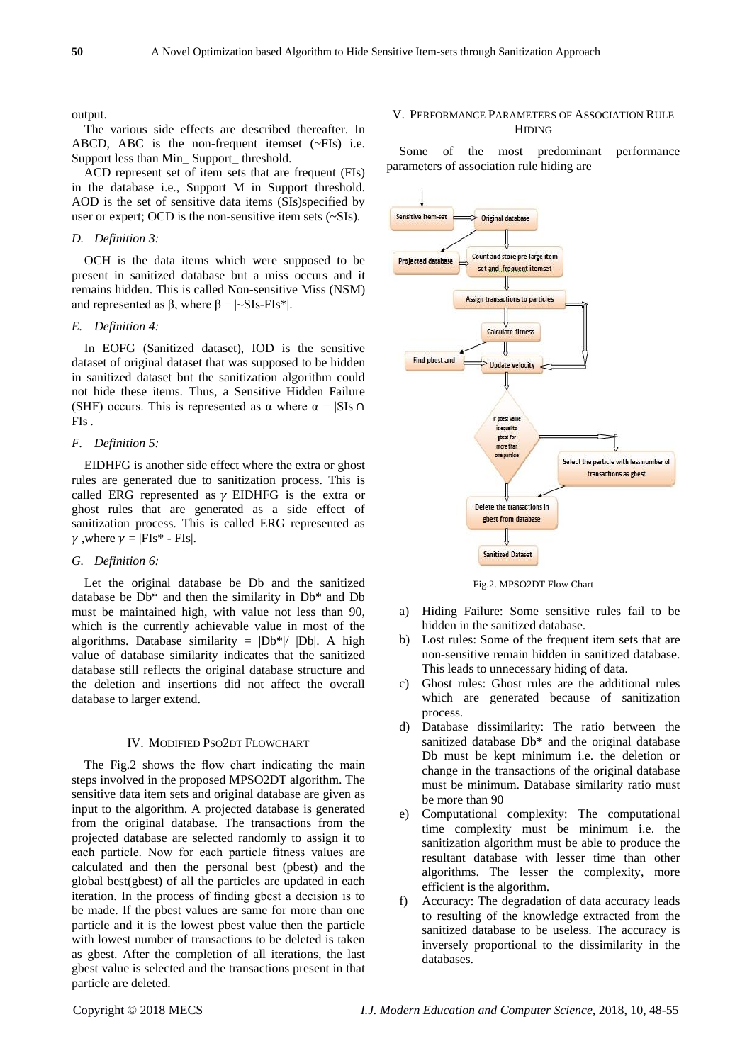output.

The various side effects are described thereafter. In ABCD, ABC is the non-frequent itemset (~FIs) i.e. Support less than Min\_ Support\_ threshold.

ACD represent set of item sets that are frequent (FIs) in the database i.e., Support M in Support threshold. AOD is the set of sensitive data items (SIs)specified by user or expert; OCD is the non-sensitive item sets (~SIs).

## *D. Definition 3:*

OCH is the data items which were supposed to be present in sanitized database but a miss occurs and it remains hidden. This is called Non-sensitive Miss (NSM) and represented as β, where  $β = |~$ SIs-FIs<sup>\*</sup>|.

# *E. Definition 4:*

In EOFG (Sanitized dataset), IOD is the sensitive dataset of original dataset that was supposed to be hidden in sanitized dataset but the sanitization algorithm could not hide these items. Thus, a Sensitive Hidden Failure (SHF) occurs. This is represented as  $\alpha$  where  $\alpha = |SIs \cap \alpha|$ FIs|.

# *F. Definition 5:*

EIDHFG is another side effect where the extra or ghost rules are generated due to sanitization process. This is called ERG represented as  $\gamma$  EIDHFG is the extra or ghost rules that are generated as a side effect of sanitization process. This is called ERG represented as  $\gamma$ , where  $\gamma = |FIs^* - FIs|$ .

### *G. Definition 6:*

Let the original database be Db and the sanitized database be Db\* and then the similarity in Db\* and Db must be maintained high, with value not less than 90, which is the currently achievable value in most of the algorithms. Database similarity =  $|Db^*|/|Db|$ . A high value of database similarity indicates that the sanitized database still reflects the original database structure and the deletion and insertions did not affect the overall database to larger extend.

# IV. MODIFIED PSO2DT FLOWCHART

The Fig.2 shows the flow chart indicating the main steps involved in the proposed MPSO2DT algorithm. The sensitive data item sets and original database are given as input to the algorithm. A projected database is generated from the original database. The transactions from the projected database are selected randomly to assign it to each particle. Now for each particle fitness values are calculated and then the personal best (pbest) and the global best(gbest) of all the particles are updated in each iteration. In the process of finding gbest a decision is to be made. If the pbest values are same for more than one particle and it is the lowest pbest value then the particle with lowest number of transactions to be deleted is taken as gbest. After the completion of all iterations, the last gbest value is selected and the transactions present in that particle are deleted.

## V. PERFORMANCE PARAMETERS OF ASSOCIATION RULE HIDING

Some of the most predominant performance parameters of association rule hiding are



Fig.2. MPSO2DT Flow Chart

- a) Hiding Failure: Some sensitive rules fail to be hidden in the sanitized database.
- b) Lost rules: Some of the frequent item sets that are non-sensitive remain hidden in sanitized database. This leads to unnecessary hiding of data.
- c) Ghost rules: Ghost rules are the additional rules which are generated because of sanitization process.
- d) Database dissimilarity: The ratio between the sanitized database Db\* and the original database Db must be kept minimum i.e. the deletion or change in the transactions of the original database must be minimum. Database similarity ratio must be more than 90
- e) Computational complexity: The computational time complexity must be minimum i.e. the sanitization algorithm must be able to produce the resultant database with lesser time than other algorithms. The lesser the complexity, more efficient is the algorithm.
- f) Accuracy: The degradation of data accuracy leads to resulting of the knowledge extracted from the sanitized database to be useless. The accuracy is inversely proportional to the dissimilarity in the databases.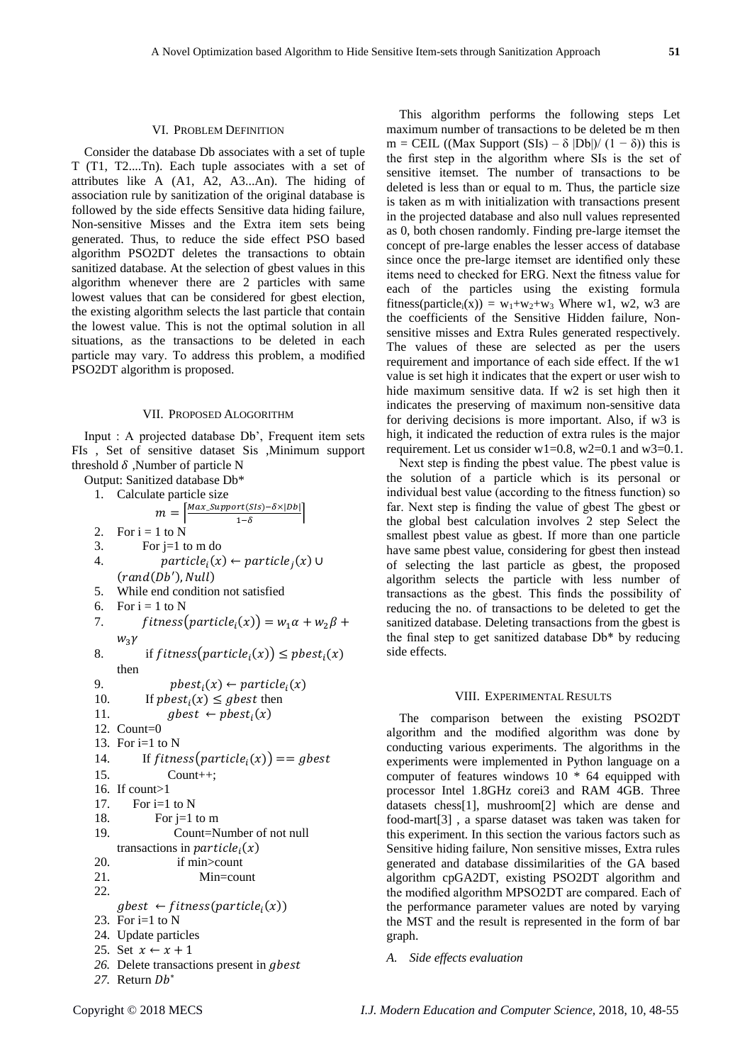### VI. PROBLEM DEFINITION

Consider the database Db associates with a set of tuple T (T1, T2....Tn). Each tuple associates with a set of attributes like A (A1, A2, A3...An). The hiding of association rule by sanitization of the original database is followed by the side effects Sensitive data hiding failure, Non-sensitive Misses and the Extra item sets being generated. Thus, to reduce the side effect PSO based algorithm PSO2DT deletes the transactions to obtain sanitized database. At the selection of gbest values in this algorithm whenever there are 2 particles with same lowest values that can be considered for gbest election, the existing algorithm selects the last particle that contain the lowest value. This is not the optimal solution in all situations, as the transactions to be deleted in each particle may vary. To address this problem, a modified PSO2DT algorithm is proposed.

#### VII. PROPOSED ALOGORITHM

Input : A projected database Db', Frequent item sets FIs , Set of sensitive dataset Sis ,Minimum support threshold  $\delta$ , Number of particle N

Output: Sanitized database Db\*

1. Calculate particle size

|     | Calculate particle 51                                                        |
|-----|------------------------------------------------------------------------------|
|     | $m = \left[\frac{Max\_Support(SIS) - \delta \times  Db }{1 - \delta}\right]$ |
| 2.  | For $i = 1$ to N                                                             |
| 3.  | For $j=1$ to m do                                                            |
| 4.  | $particle_i(x) \leftarrow particle_i(x) \cup$                                |
|     | (rand(Db'),Null)                                                             |
| 5.  | While end condition not satisfied                                            |
| 6.  | For $i = 1$ to N                                                             |
| 7.  | $fitness(particle_i(x)) = w_1\alpha + w_2\beta +$                            |
|     | $W_3Y$                                                                       |
| 8.  | if $fitness(particle_i(x)) \leq pbest_i(x)$                                  |
|     | then                                                                         |
| 9.  | $pbest_i(x) \leftarrow particle_i(x)$                                        |
| 10. | If $pbest_i(x) \leq gbest$ then                                              |
| 11. | $gbest \leftarrow pbest_i(x)$                                                |
|     | 12. Count= $0$                                                               |
|     | 13. For $i=1$ to N                                                           |
| 14. | If fitness(particle <sub>i</sub> (x)) == gbest                               |
| 15. | $Count++;$                                                                   |
|     | 16. If count>1                                                               |
| 17. | For $i=1$ to N                                                               |
| 18. | For $j=1$ to m                                                               |
| 19. | Count=Number of not null                                                     |
|     | transactions in $particlei(x)$                                               |
| 20. | if min>count                                                                 |
| 21. | $Min = count$                                                                |
| 22. |                                                                              |
|     | $gbest \leftarrow fitness(particle_i(x))$                                    |
|     | 23. For $i=1$ to N                                                           |
|     | 24. Update particles                                                         |
|     | 25. Set $x \leftarrow x + 1$                                                 |
|     | 26. Delete transactions present in gbest                                     |
|     | 27. Return Db*                                                               |
|     |                                                                              |

This algorithm performs the following steps Let maximum number of transactions to be deleted be m then m = CEIL ((Max Support (SIs) –  $\delta$  |Db|)/ (1 –  $\delta$ )) this is the first step in the algorithm where SIs is the set of sensitive itemset. The number of transactions to be deleted is less than or equal to m. Thus, the particle size is taken as m with initialization with transactions present in the projected database and also null values represented as 0, both chosen randomly. Finding pre-large itemset the concept of pre-large enables the lesser access of database since once the pre-large itemset are identified only these items need to checked for ERG. Next the fitness value for each of the particles using the existing formula fitness(particle<sub>i</sub>(x)) = w<sub>1</sub>+w<sub>2</sub>+w<sub>3</sub> Where w1, w2, w3 are the coefficients of the Sensitive Hidden failure, Nonsensitive misses and Extra Rules generated respectively. The values of these are selected as per the users requirement and importance of each side effect. If the w1 value is set high it indicates that the expert or user wish to hide maximum sensitive data. If w2 is set high then it indicates the preserving of maximum non-sensitive data for deriving decisions is more important. Also, if w3 is high, it indicated the reduction of extra rules is the major requirement. Let us consider  $w1=0.8$ ,  $w2=0.1$  and  $w3=0.1$ .

Next step is finding the pbest value. The pbest value is the solution of a particle which is its personal or individual best value (according to the fitness function) so far. Next step is finding the value of gbest The gbest or the global best calculation involves 2 step Select the smallest pbest value as gbest. If more than one particle have same pbest value, considering for gbest then instead of selecting the last particle as gbest, the proposed algorithm selects the particle with less number of transactions as the gbest. This finds the possibility of reducing the no. of transactions to be deleted to get the sanitized database. Deleting transactions from the gbest is the final step to get sanitized database Db\* by reducing side effects.

# VIII. EXPERIMENTAL RESULTS

The comparison between the existing PSO2DT algorithm and the modified algorithm was done by conducting various experiments. The algorithms in the experiments were implemented in Python language on a computer of features windows 10 \* 64 equipped with processor Intel 1.8GHz corei3 and RAM 4GB. Three datasets chess[1], mushroom[2] which are dense and food-mart[3] , a sparse dataset was taken was taken for this experiment. In this section the various factors such as Sensitive hiding failure, Non sensitive misses, Extra rules generated and database dissimilarities of the GA based algorithm cpGA2DT, existing PSO2DT algorithm and the modified algorithm MPSO2DT are compared. Each of the performance parameter values are noted by varying the MST and the result is represented in the form of bar graph.

# *A. Side effects evaluation*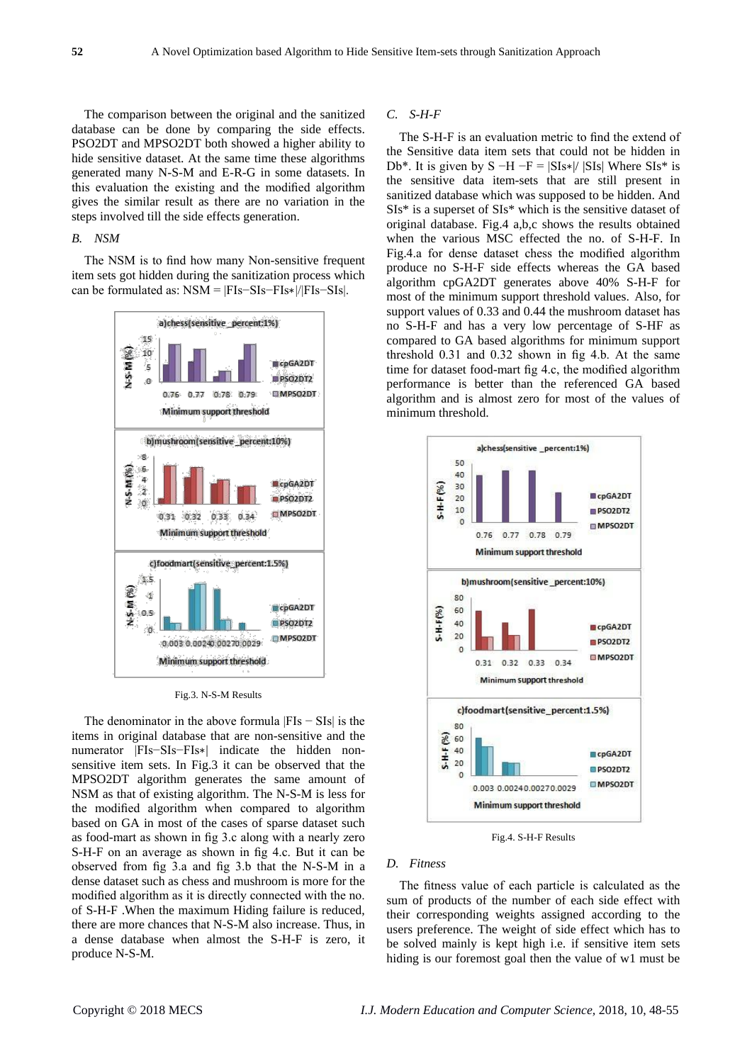The comparison between the original and the sanitized database can be done by comparing the side effects. PSO2DT and MPSO2DT both showed a higher ability to hide sensitive dataset. At the same time these algorithms generated many N-S-M and E-R-G in some datasets. In this evaluation the existing and the modified algorithm gives the similar result as there are no variation in the steps involved till the side effects generation.

# *B. NSM*

The NSM is to find how many Non-sensitive frequent item sets got hidden during the sanitization process which can be formulated as: NSM = |FIs−SIs−FIs∗|/|FIs−SIs|.



Fig.3. N-S-M Results

The denominator in the above formula |FIs − SIs| is the items in original database that are non-sensitive and the numerator |FIs−SIs−FIs∗| indicate the hidden nonsensitive item sets. In Fig.3 it can be observed that the MPSO2DT algorithm generates the same amount of NSM as that of existing algorithm. The N-S-M is less for the modified algorithm when compared to algorithm based on GA in most of the cases of sparse dataset such as food-mart as shown in fig 3.c along with a nearly zero S-H-F on an average as shown in fig 4.c. But it can be observed from fig 3.a and fig 3.b that the N-S-M in a dense dataset such as chess and mushroom is more for the modified algorithm as it is directly connected with the no. of S-H-F .When the maximum Hiding failure is reduced, there are more chances that N-S-M also increase. Thus, in a dense database when almost the S-H-F is zero, it produce N-S-M.

#### *C. S-H-F*

The S-H-F is an evaluation metric to find the extend of the Sensitive data item sets that could not be hidden in Db<sup>\*</sup>. It is given by  $S - H - F = |SIs*|/ |SIs|$  Where  $SIs*$  is the sensitive data item-sets that are still present in sanitized database which was supposed to be hidden. And SIs\* is a superset of SIs\* which is the sensitive dataset of original database. Fig.4 a,b,c shows the results obtained when the various MSC effected the no. of S-H-F. In Fig.4.a for dense dataset chess the modified algorithm produce no S-H-F side effects whereas the GA based algorithm cpGA2DT generates above 40% S-H-F for most of the minimum support threshold values. Also, for support values of 0.33 and 0.44 the mushroom dataset has no S-H-F and has a very low percentage of S-HF as compared to GA based algorithms for minimum support threshold 0.31 and 0.32 shown in fig 4.b. At the same time for dataset food-mart fig 4.c, the modified algorithm performance is better than the referenced GA based algorithm and is almost zero for most of the values of minimum threshold.



Fig.4. S-H-F Results

# *D. Fitness*

The fitness value of each particle is calculated as the sum of products of the number of each side effect with their corresponding weights assigned according to the users preference. The weight of side effect which has to be solved mainly is kept high i.e. if sensitive item sets hiding is our foremost goal then the value of w1 must be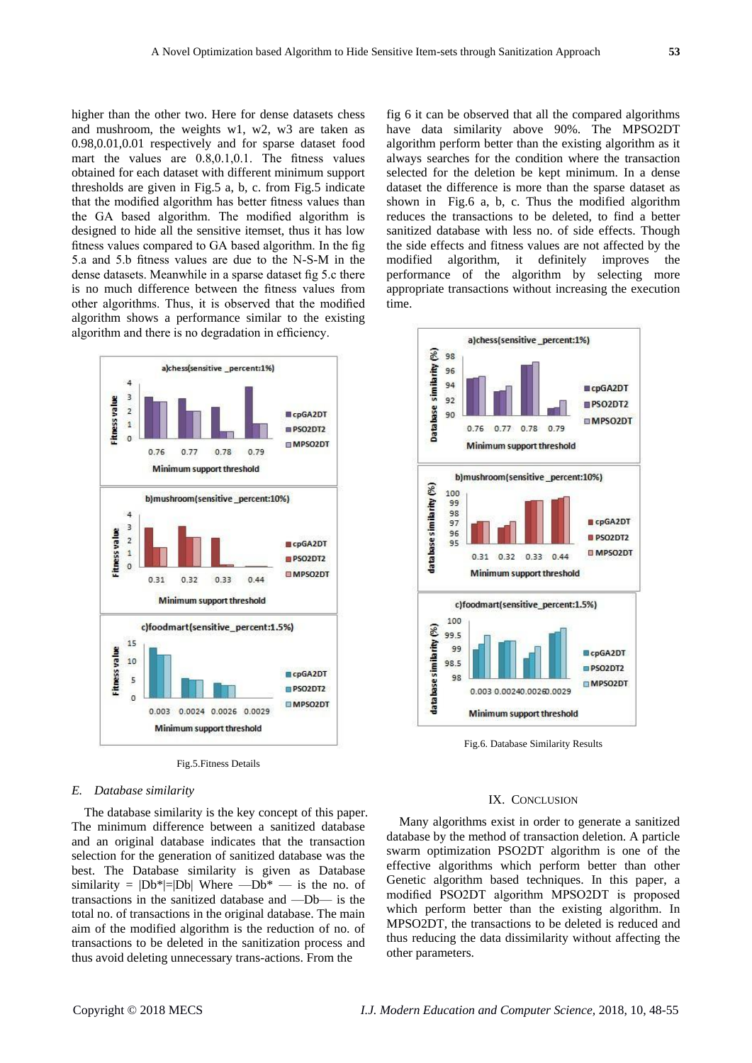higher than the other two. Here for dense datasets chess and mushroom, the weights w1, w2, w3 are taken as 0.98,0.01,0.01 respectively and for sparse dataset food mart the values are 0.8,0.1,0.1. The fitness values obtained for each dataset with different minimum support thresholds are given in Fig.5 a, b, c. from Fig.5 indicate that the modified algorithm has better fitness values than the GA based algorithm. The modified algorithm is designed to hide all the sensitive itemset, thus it has low fitness values compared to GA based algorithm. In the fig 5.a and 5.b fitness values are due to the N-S-M in the dense datasets. Meanwhile in a sparse dataset fig 5.c there is no much difference between the fitness values from other algorithms. Thus, it is observed that the modified algorithm shows a performance similar to the existing algorithm and there is no degradation in efficiency.



Fig.5.Fitness Details

#### *E. Database similarity*

The database similarity is the key concept of this paper. The minimum difference between a sanitized database and an original database indicates that the transaction selection for the generation of sanitized database was the best. The Database similarity is given as Database similarity =  $|Db^*|=|Db|$  Where  $-Db^*$  — is the no. of transactions in the sanitized database and —Db— is the total no. of transactions in the original database. The main aim of the modified algorithm is the reduction of no. of transactions to be deleted in the sanitization process and thus avoid deleting unnecessary trans-actions. From the

fig 6 it can be observed that all the compared algorithms have data similarity above 90%. The MPSO2DT algorithm perform better than the existing algorithm as it always searches for the condition where the transaction selected for the deletion be kept minimum. In a dense dataset the difference is more than the sparse dataset as shown in Fig.6 a, b, c. Thus the modified algorithm reduces the transactions to be deleted, to find a better sanitized database with less no. of side effects. Though the side effects and fitness values are not affected by the modified algorithm, it definitely improves the performance of the algorithm by selecting more appropriate transactions without increasing the execution time.



Fig.6. Database Similarity Results

#### IX. CONCLUSION

Many algorithms exist in order to generate a sanitized database by the method of transaction deletion. A particle swarm optimization PSO2DT algorithm is one of the effective algorithms which perform better than other Genetic algorithm based techniques. In this paper, a modified PSO2DT algorithm MPSO2DT is proposed which perform better than the existing algorithm. In MPSO2DT, the transactions to be deleted is reduced and thus reducing the data dissimilarity without affecting the other parameters.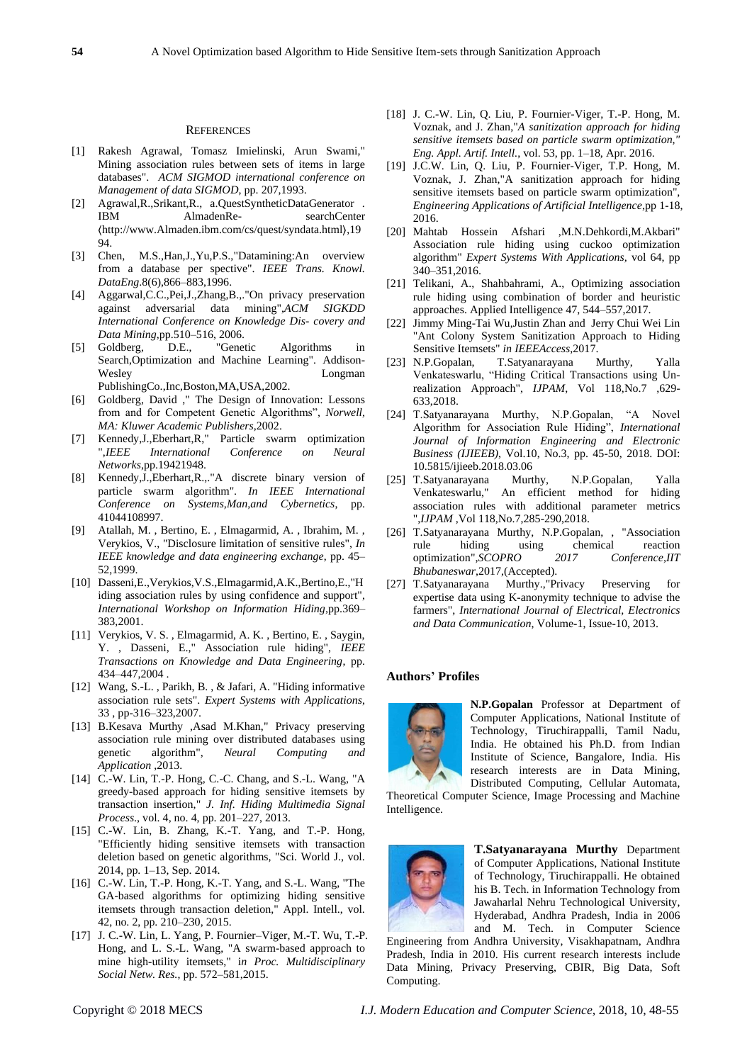#### **REFERENCES**

- [1] Rakesh Agrawal, Tomasz Imielinski, Arun Swami," Mining association rules between sets of items in large databases". *ACM SIGMOD international conference on Management of data SIGMOD*, pp. 207,1993.
- [2] Agrawal,R.,Srikant,R., a.QuestSyntheticDataGenerator . IBM AlmadenRe- searchCenter 〈http://www.Almaden.ibm.com/cs/quest/syndata.html〉,19 94.
- [3] Chen, M.S.,Han,J.,Yu,P.S.,"Datamining:An overview from a database per spective". *IEEE Trans. Knowl. DataEng*.8(6),866–883,1996.
- [4] Aggarwal,C.C.,Pei,J.,Zhang,B.,."On privacy preservation against adversarial data mining",*ACM SIGKDD International Conference on Knowledge Dis- covery and Data Mining*,pp.510–516, 2006.
- [5] Goldberg, D.E., "Genetic Algorithms in Search,Optimization and Machine Learning". Addison-Wesley Longman Longman PublishingCo.,Inc,Boston,MA,USA,2002.
- [6] Goldberg, David ," The Design of Innovation: Lessons from and for Competent Genetic Algorithms", *Norwell, MA: Kluwer Academic Publishers*,2002.
- [7] Kennedy,J.,Eberhart,R," Particle swarm optimization ",*IEEE International Conference on Neural Networks*,pp.19421948.
- [8] Kennedy,J.,Eberhart,R.,."A discrete binary version of particle swarm algorithm". *In IEEE International Conference on Systems,Man,and Cybernetics*, pp. 41044108997.
- [9] Atallah, M. , Bertino, E. , Elmagarmid, A. , Ibrahim, M. , Verykios, V., "Disclosure limitation of sensitive rules", *In IEEE knowledge and data engineering exchange*, pp. 45– 52,1999.
- [10] Dasseni,E.,Verykios,V.S.,Elmagarmid,A.K.,Bertino,E.,"H iding association rules by using confidence and support", *International Workshop on Information Hiding,*pp.369– 383,2001.
- [11] Verykios, V. S. , Elmagarmid, A. K. , Bertino, E. , Saygin, Y. , Dasseni, E.," Association rule hiding", *IEEE Transactions on Knowledge and Data Engineering*, pp. 434–447,2004 .
- [12] Wang, S.-L. , Parikh, B. , & Jafari, A. "Hiding informative association rule sets". *Expert Systems with Applications*, 33 , pp-316–323,2007.
- [13] B.Kesava Murthy ,Asad M.Khan," Privacy preserving association rule mining over distributed databases using genetic algorithm", *Neural Computing and Application* ,2013.
- [14] C.-W. Lin, T.-P. Hong, C.-C. Chang, and S.-L. Wang, "A greedy-based approach for hiding sensitive itemsets by transaction insertion," *J. Inf. Hiding Multimedia Signal Process*., vol. 4, no. 4, pp. 201–227, 2013.
- [15] C.-W. Lin, B. Zhang, K.-T. Yang, and T.-P. Hong, "Efficiently hiding sensitive itemsets with transaction deletion based on genetic algorithms, "Sci. World J., vol. 2014, pp. 1–13, Sep. 2014.
- [16] C.-W. Lin, T.-P. Hong, K.-T. Yang, and S.-L. Wang, "The GA-based algorithms for optimizing hiding sensitive itemsets through transaction deletion," Appl. Intell., vol. 42, no. 2, pp. 210–230, 2015.
- [17] J. C.-W. Lin, L. Yang, P. Fournier–Viger, M.-T. Wu, T.-P. Hong, and L. S.-L. Wang, "A swarm-based approach to mine high-utility itemsets," i*n Proc. Multidisciplinary Social Netw. Res.*, pp. 572–581,2015.
- [18] J. C.-W. Lin, O. Liu, P. Fournier-Viger, T.-P. Hong, M. Voznak, and J. Zhan,"*A sanitization approach for hiding sensitive itemsets based on particle swarm optimization, Eng. Appl. Artif. Intell.*, vol. 53, pp. 1–18, Apr. 2016.
- [19] J.C.W. Lin, Q. Liu, P. Fournier-Viger, T.P. Hong, M. Voznak, J. Zhan,"A sanitization approach for hiding sensitive itemsets based on particle swarm optimization", *Engineering Applications of Artificial Intelligence*,pp 1-18, 2016.
- [20] Mahtab Hossein Afshari ,M.N.Dehkordi,M.Akbari" Association rule hiding using cuckoo optimization algorithm" *Expert Systems With Applications,* vol 64, pp 340–351,2016.
- [21] Telikani, A., Shahbahrami, A., Optimizing association rule hiding using combination of border and heuristic approaches. Applied Intelligence 47, 544–557,2017.
- [22] Jimmy Ming-Tai Wu,Justin Zhan and Jerry Chui Wei Lin "Ant Colony System Sanitization Approach to Hiding Sensitive Itemsets" *in IEEEAccess*,2017.
- [23] N.P.Gopalan, T.Satyanarayana Murthy, Yalla Venkateswarlu, "Hiding Critical Transactions using Unrealization Approach", *IJPAM*, Vol 118,No.7 ,629- 633,2018.
- [24] T.Satyanarayana Murthy, N.P.Gopalan, "A Novel Algorithm for Association Rule Hiding", *International Journal of Information Engineering and Electronic Business (IJIEEB)*, Vol.10, No.3, pp. 45-50, 2018. DOI: 10.5815/ijieeb.2018.03.06
- [25] T.Satyanarayana Murthy, N.P.Gopalan, Yalla Venkateswarlu," An efficient method for hiding association rules with additional parameter metrics ",*IJPAM* ,Vol 118,No.7,285-290,2018.
- [26] T.Satyanarayana Murthy, N.P.Gopalan, , "Association rule hiding using chemical reaction optimization",*SCOPRO 2017 Conference,IIT Bhubaneswar*,2017,(Accepted).
- [27] T.Satyanarayana Murthy.,"Privacy Preserving for expertise data using K-anonymity technique to advise the farmers", *International Journal of Electrical, Electronics and Data Communication*, Volume-1, Issue-10, 2013.

## **Authors' Profiles**



**N.P.Gopalan** Professor at Department of Computer Applications, National Institute of Technology, Tiruchirappalli, Tamil Nadu, India. He obtained his Ph.D. from Indian Institute of Science, Bangalore, India. His research interests are in Data Mining, Distributed Computing, Cellular Automata,

Theoretical Computer Science, Image Processing and Machine Intelligence.



**T.Satyanarayana Murthy** Department of Computer Applications, National Institute of Technology, Tiruchirappalli. He obtained his B. Tech. in Information Technology from Jawaharlal Nehru Technological University, Hyderabad, Andhra Pradesh, India in 2006 and M. Tech. in Computer Science

Engineering from Andhra University, Visakhapatnam, Andhra Pradesh, India in 2010. His current research interests include Data Mining, Privacy Preserving, CBIR, Big Data, Soft Computing.